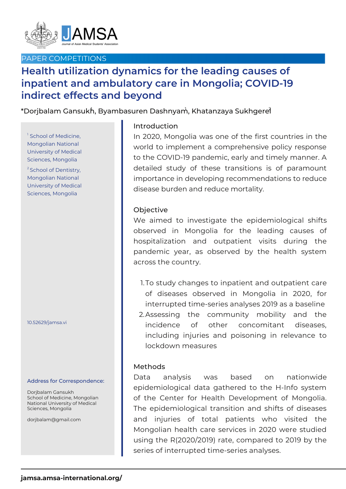

# PAPER COMPETITIONS

# **Health utilization dynamics for the leading causes of inpatient and ambulatory care in Mongolia; COVID-19 indirect effects and beyond**

 $^{\ast}$ Dorjbalam Gansuk $^{\textrm{h}}$ , Byambasuren Dashnyam, Khatanzaya Sukhgere $\mathrm{\hat{f}}$ 

<sup>1</sup> School of Medicine, Mongolian National University of Medical Sciences, Mongolia

<sup>2</sup> School of Dentistry, Mongolian National University of Medical Sciences, Mongolia

#### 10.52629/jamsa.vi

#### Address for Correspondence:

Dorjbalam Gansukh School of Medicine, Mongolian National University of Medical Sciences, Mongolia

dorjbalam@gmail.com

## Introduction

In 2020, Mongolia was one of the first countries in the world to implement a comprehensive policy response to the COVID-19 pandemic, early and timely manner. A detailed study of these transitions is of paramount importance in developing recommendations to reduce disease burden and reduce mortality.

### Objective

We aimed to investigate the epidemiological shifts observed in Mongolia for the leading causes of hospitalization and outpatient visits during the pandemic year, as observed by the health system across the country.

1.To study changes to inpatient and outpatient care of diseases observed in Mongolia in 2020, for interrupted time-series analyses 2019 as a baseline Assessing the community mobility and the 2. incidence of other concomitant diseases, including injuries and poisoning in relevance to lockdown measures

## Methods

Data analysis was based on nationwide epidemiological data gathered to the H-Info system of the Center for Health Development of Mongolia. The epidemiological transition and shifts of diseases and injuries of total patients who visited the Mongolian health care services in 2020 were studied using the R(2020/2019) rate, compared to 2019 by the series of interrupted time-series analyses.